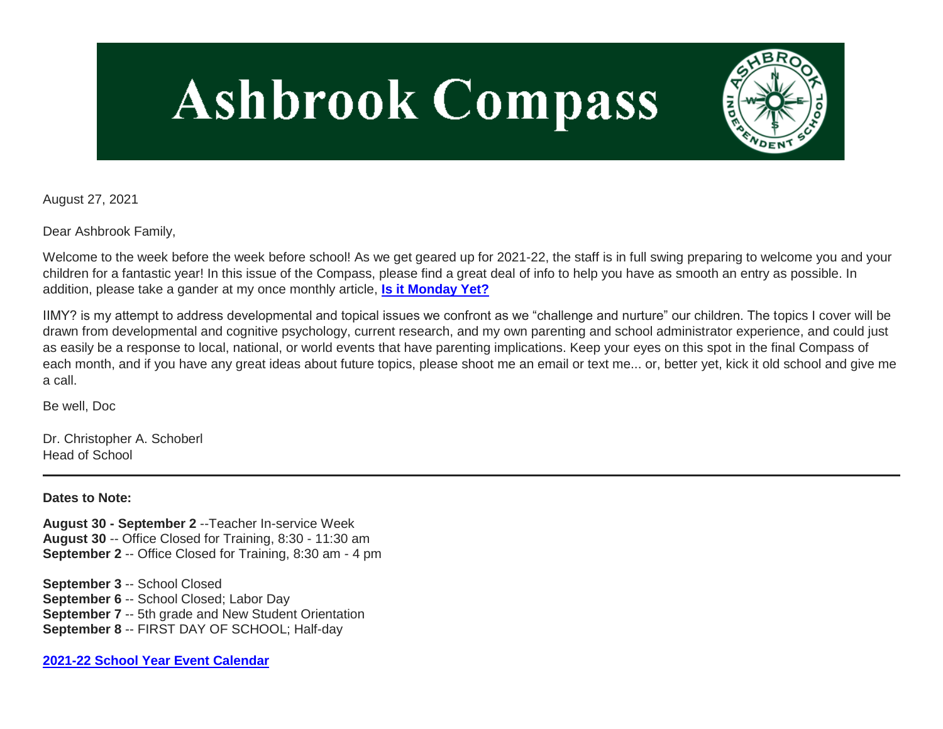# **Ashbrook Compass**



August 27, 2021

Dear Ashbrook Family,

Welcome to the week before the week before school! As we get geared up for 2021-22, the staff is in full swing preparing to welcome you and your children for a fantastic year! In this issue of the Compass, please find a great deal of info to help you have as smooth an entry as possible. In addition, please take a gander at my once monthly article, **[Is it Monday Yet?](http://link.mystudentsprogress.com/ls/click?upn=VpBe6Z9t6RkEC4qAoQCerkRqVNRJCi4SE2bZPjoSvlz4foSJBU26Y19JMg-2Flz5f-2FQBAk1vcXcka-2BBBHEovnXw5j-2FyngfVzqrf9xP5MI6rosg9-2FvKBrt4hp-2BEh3ehnVb4J0YW26hj-2ByIlPs-2BBbd39Eg-3D-3DYrSx_1PndbFfBoQGSZbxwXHHEexw3B2F0fG-2BUmuXm6a-2BX-2Bzu09P78Y-2F80D8PfqJo-2FvLlfu9-2FKZAQ6reIjYf02JP8PijXj3DZjAKPoS7nslWZrpopp385udMRCu4GOsMIs47NiNYJY2lxeU5qJ6CclgnVl0I3-2B22iJisLKb9S5zUg14zjl-2FMxj39-2FLQQ9Auaz-2FGKtVxT2DCe-2F8EEYg6A6IIlT9fhaK0yV2bj77gKr4TmqsqywMZVz-2B2BZ1BgWFANMhHgomM2pUeFYU3uOjcL4-2BAfomP7CCCM4RhNg9n4963Lo7YiTtaDr766DzvHLd4NiUryYqw-2BuqUkCq4ROFyBcOX16OnkKWwsU71lZ82NThQvpFcmIUsYomEuN-2FQwvw9zhqemVuXDwslWdZIKiFLysQgnUJe0-2FwlH19mL8iTRJxq3BPMq8eMX5e9-2Fo2wfw-2FclVx9XWr)**

IIMY? is my attempt to address developmental and topical issues we confront as we "challenge and nurture" our children. The topics I cover will be drawn from developmental and cognitive psychology, current research, and my own parenting and school administrator experience, and could just as easily be a response to local, national, or world events that have parenting implications. Keep your eyes on this spot in the final Compass of each month, and if you have any great ideas about future topics, please shoot me an email or text me... or, better yet, kick it old school and give me a call.

Be well, Doc

Dr. Christopher A. Schoberl Head of School

**Dates to Note:**

**August 30 - September 2** --Teacher In-service Week **August 30** -- Office Closed for Training, 8:30 - 11:30 am **September 2** -- Office Closed for Training, 8:30 am - 4 pm

**September 3** -- School Closed **September 6** -- School Closed; Labor Day **September 7** -- 5th grade and New Student Orientation **September 8** -- FIRST DAY OF SCHOOL; Half-day

**[2021-22 School Year Event Calendar](http://link.mystudentsprogress.com/ls/click?upn=t3AI3kjK1Pyk9qPfHnOahelBVVSIlRAa3GeSLMbkINmgHr3guxrPuqfp-2Bh-2FJW4nCZ4g8Gi3XkGXC-2FKATZbsSvlLtGaxynoxi8rg7wuoRjJ9ogb5HbX999Eip-2FZE6wLdBt-2FZXHJBS6zquMLtzN9wyAf-2BwWQPV3rI3lDDknuQ1JHMBzJ8gUYT-2F7YzNEwZY9IsL01sHprQ-2FIDOi-2FxvxQxcWetx3uPiVsOO-2BTqPctwW7ytf9RkxC1x3UjTIEBtRaqxRocHrr-2BmciBR4-2BJ-2F9FRK9RIbCVijz3zpNIIcd4PIsUMddSSVNBf6Erlmv-2BHBcLMpY-2BXATDQ1ruaOReFDZmWYSBv8U-2FG-2FKOr0yEkAwqSdMzdcQ3gq4Z79RZNOTZP4nGap5-2B4nzc4nIf29OyD3NhvJHQaLkc85sE-2FfYbPaGyyk6H2FOzJRYThJmT37US6LpTrGNlh9HxVTLYe1LpjcNTBXNJsSKlp-2BAa-2BVuGTdE8v33fTt9-2BgR-2BE9tSlDPzhNHxWPZ2RZ535aLRz3SoCCiPZR3EABfh4FMKDRC4z2q-2Bvjvbtim7SOD4kDD2r5XYSDBe4a3bcI5fNds6iRAQWmj3uDnwn3-2B3tKuGNT1JKaRpJXKTgGLzWZLAnNUo4fvdQC77H83vaK-2BM8PCeLuljt-2FRAsnx0cP-2FGdRouESOyMOB5ORkT-2BH-2Bkw4hRRiiTCpe61BsZqpA-2BuLQyW_1PndbFfBoQGSZbxwXHHEexw3B2F0fG-2BUmuXm6a-2BX-2Bzu09P78Y-2F80D8PfqJo-2FvLlfu9-2FKZAQ6reIjYf02JP8PijsaQ6kDFWwoueK3CE9ymCsTDJjdcg1-2F5FQrWVbQ5PH7WBg1KQ0ZqeTCkxLu8DsqYb19QraRWFH3GBhVVIYujeudc6ODpfEdD87s4aoEFuM2-2BTQCmOoz3PaYP1qKAD1YIaBqfsvOzP2V12gu0hgqjIx-2FIdpYhYMY7ESePqASLPnpyS5qufweMNL4Xhjf-2F2Ll1Svq-2BkWLIh26eACeyHVBODNUimljexWXbrO5G8XPiWIvega1Isq8VKdtkpFlzXjv-2F550hZA77CUSWGt6orr-2FjG3o7fNQESUrTmZ5zvgd9-2FlkVxfGeRfpm-2F0MiQnHPXkxzgtuDLSz88WV7M78DfYwqqM-2FCTDL0hzLSOC2Hh44CPGh)**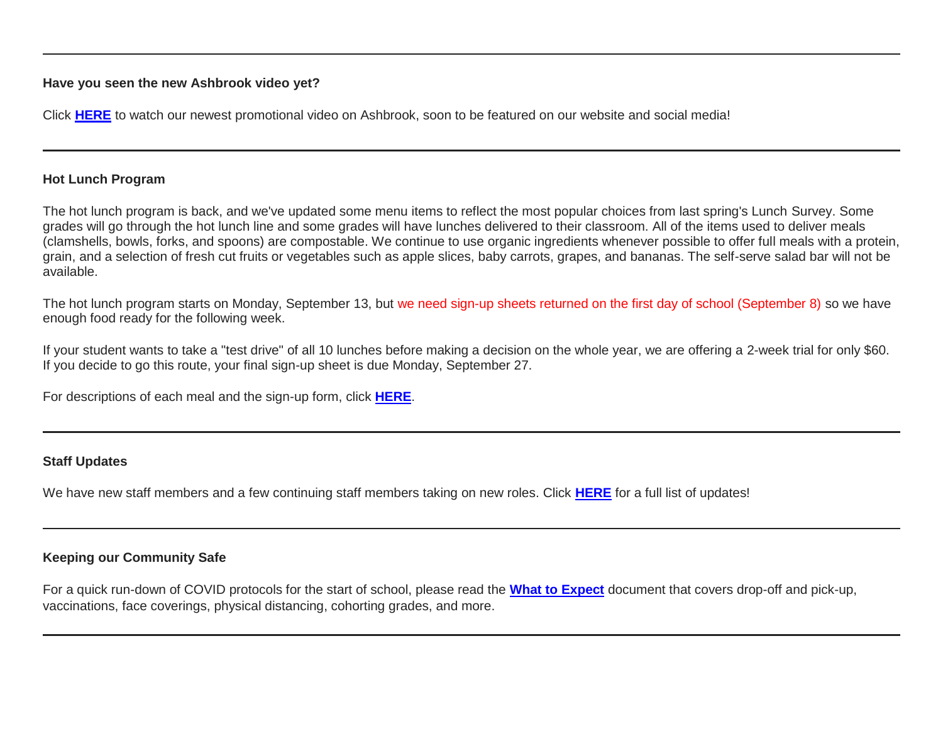#### **Have you seen the new Ashbrook video yet?**

Click **[HERE](http://link.mystudentsprogress.com/ls/click?upn=VpBe6Z9t6RkEC4qAoQCertKzhjEDinKc0CfI3IvbCQeBxd7UzXiviZ0NhEXzMTCZ46ktmJpjFZzkPnhCakX6U-2FNUgFFOtfEXXwl6bU6UKDOoaEzSGaCdi9es6CdFRR6zNVE__1PndbFfBoQGSZbxwXHHEexw3B2F0fG-2BUmuXm6a-2BX-2Bzu09P78Y-2F80D8PfqJo-2FvLlfu9-2FKZAQ6reIjYf02JP8PinVkJIjtPq6xunA4k7lINqjsqaouCPgvhGDKSaWaFb1PbaIGUv41wHmExaMveP4pxk6qGfBIuf7wRQvpvxW6l-2BWlK7ererIxpAHknWlxkMZFuLKA07B4RzKyq3ffq6VdHV3UvZ5oCAHhlVVDIZCLz9zBQe3-2BGi7GXbtzF6SOIz9nSMDHmew42mEzgx4jYE8B7fB6e42ei6oTdfJVxoZ9i9t-2F7p1bfEJqz8KhlfoRuEPN38YOU9939XR9Rh5cdn5DxgAyIWc-2Bg8N4oGXPehvtlmjbbUlri8LSzjVbf6bAfcnmnRSWeL5J-2Ba7CJNAYt2rcegcjLOGDWHDuEhTBlP1ld4zmPNl-2B4f-2FNquuaUAE0rCp-2F)** to watch our newest promotional video on Ashbrook, soon to be featured on our website and social media!

# **Hot Lunch Program**

The hot lunch program is back, and we've updated some menu items to reflect the most popular choices from last spring's Lunch Survey. Some grades will go through the hot lunch line and some grades will have lunches delivered to their classroom. All of the items used to deliver meals (clamshells, bowls, forks, and spoons) are compostable. We continue to use organic ingredients whenever possible to offer full meals with a protein, grain, and a selection of fresh cut fruits or vegetables such as apple slices, baby carrots, grapes, and bananas. The self-serve salad bar will not be available.

The hot lunch program starts on Monday, September 13, but we need sign-up sheets returned on the first day of school (September 8) so we have enough food ready for the following week.

If your student wants to take a "test drive" of all 10 lunches before making a decision on the whole year, we are offering a 2-week trial for only \$60. If you decide to go this route, your final sign-up sheet is due Monday, September 27.

For descriptions of each meal and the sign-up form, click **[HERE](http://link.mystudentsprogress.com/ls/click?upn=n7jYKe39nC4PrVAw2BzaOolgU5XUleaJ61qfvNJxTW3uoi8RFzNYUfSc1qXdqajA34djZWrxIBJBxzp2whbybvqIYp3dDOkCDgKesziBdCm-2BwerBdChKSH-2F5Cwj-2F1LQNRLK0USN-2BOHxV0gKVErqjEiNVA-2F-2FSTsMwaxtRWxe3ZNceWp6VKupeAWREF7VFV-2B-2BMkMbU_1PndbFfBoQGSZbxwXHHEexw3B2F0fG-2BUmuXm6a-2BX-2Bzu09P78Y-2F80D8PfqJo-2FvLlfu9-2FKZAQ6reIjYf02JP8PiiDJMxtumH9pNjwJOEjAYA42MZ-2Fuw1Ep1q9v5q21TeKXCx9bONvUrFVW4TFCt3PXDqXCKqO8BMjhboYp9lbCmoNRfEp8O9-2F2WyOedVCZPaPcC3-2BIwWc0VP3nAX5ySGsJXNWnlIL2MvkKFxDAeiXINHF-2BHgn779klBk-2Bbk54I4U-2BWxJuND9v1UiJX7nuwZhQgZ5UXyxtr5o4fSCK8YHtBkxWZGDtpVCXfCTkCJzvhzbTRxiFB56VmDjlxvEacVT7GBPScnEp4lCsm6qrGLiATGtLUZ7E5tEC71-2F9ADY0isLqJqoiDKZtNeN3YETop-2FbCFSRzzhuOVigXXf8rPXhMRAnNt-2FyId-2FuBAcheQDiNQO6m1)**.

## **Staff Updates**

We have new staff members and a few continuing staff members taking on new roles. Click **[HERE](http://link.mystudentsprogress.com/ls/click?upn=VpBe6Z9t6RkEC4qAoQCerkRqVNRJCi4SE2bZPjoSvlzuYd-2FClLta1IMJVd-2BxMm3QwK8A-2FzlsEhHBxifl7r-2BINjBZS8yth3DVkGaTmQOqrcQ7qvy9THfkyxgzExOxW0Y3PbaA_1PndbFfBoQGSZbxwXHHEexw3B2F0fG-2BUmuXm6a-2BX-2Bzu09P78Y-2F80D8PfqJo-2FvLlfu9-2FKZAQ6reIjYf02JP8PihYDJhY5rxqYDMqaNNDbaejKPwflHNSVoy9ZfIVZRxjr3F8Jzxb1lS9v6-2BL2mooYIdhfqtldjwmrfWLNocfR6ZyVZguyAQhR-2F7xrcodvhAkGcz47XM-2FRwjeNQzpX6fdNvfjIgu9dnWxk6wfOeqdRvJKnlmTC2i1k41lmppXsEQCrM1WP0hKIRNmDW9-2FhN8J17piTjT6-2BoZ76fhXk-2B07yaDbqvPFdIfgr8sPGKcTrC-2Fvo4aQKbjwIi7O52AUAqwOrvccQ8NUhumU4XNfONPM9ZI1tjy4oFEGvgRLpbyeX8ojrIbFVG0dWgIVPNNbJzagRQVRHr2P4e5rexsayeMQsKscfFsNU4NdsOIWaoe7wRJql)** for a full list of updates!

## **Keeping our Community Safe**

For a quick run-down of COVID protocols for the start of school, please read the **[What to Expect](http://link.mystudentsprogress.com/ls/click?upn=VpBe6Z9t6RkEC4qAoQCerkRqVNRJCi4SE2bZPjoSvlx-2B73v0qLD7UE4OR1HxUPnQjo373OcBsFTcceiBTBg2kiKS5X1JKFgWdi3QJpHmg7VZZWTTycM-2BsXCPPPle9MEtRRbYczCQHG4OXwytnigmfw-3D-3Dpxd4_1PndbFfBoQGSZbxwXHHEexw3B2F0fG-2BUmuXm6a-2BX-2Bzu09P78Y-2F80D8PfqJo-2FvLlfu9-2FKZAQ6reIjYf02JP8Pig5eGUaGubkDRvCyHAOCVDhYjWZ9VW8YWrUdFz-2FvfloXm-2F3g8RR33zBj-2FvYhMf-2FLlxSh2SD1uXNRNIv1MCG1WvNBZYEkTeFGsDV38Mjj-2FAuSdT2jhUK0nNPEdl0YjXRHLW4wJZxeXChfib1-2BZZb9UmqgthBttJ-2FGWiJ-2FVYw8J9D3hNrjHaKSuJpSqgjish4kfQIN1rDHh3t5fqavzRyCHPzgbmWlAKlSW9ab-2Bm8E4cDn1cWZc8kezlhYI3zEbXJS3q3hF27vliaL2-2BqG4ors0lhqCoSfHATQ0f83bRTIuia0rCK8EiNV2fWf-2FLqpwNq5imkbWy-2F-2Bzm7OlYtlWECB5N7oG2p75D-2B7KJ2GpIRlTWFf)** document that covers drop-off and pick-up, vaccinations, face coverings, physical distancing, cohorting grades, and more.